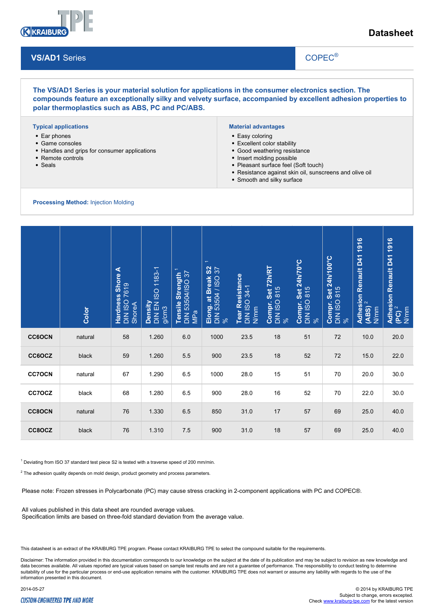

#### **Datasheet**

#### **VS/AD1** Series

## COPEC®

 $\overline{\phantom{a}}$ 

**The VS/AD1 Series is your material solution for applications in the consumer electronics section. The compounds feature an exceptionally silky and velvety surface, accompanied by excellent adhesion properties to polar thermoplastics such as ABS, PC and PC/ABS.**

| <b>Material advantages</b>                                                                                                                                                                                                |
|---------------------------------------------------------------------------------------------------------------------------------------------------------------------------------------------------------------------------|
| • Excellent color stability<br>• Good weathering resistance<br>• Insert molding possible<br>• Pleasant surface feel (Soft touch)<br>• Resistance against skin oil, sunscreens and olive oil<br>• Smooth and silky surface |
|                                                                                                                                                                                                                           |

#### **Processing Method:** Injection Molding

|                                                                                                                                                                                                                                                                                                                                                                                                                                                                                                         | Color   | Hardness Shore A<br><b>DIN ISO 7619</b><br>ShoreA | Density<br>DIN EN ISO 1183-1<br>g/cm3 | Tensile Strength<br>DIN 53504/ISO 37<br>MPa | Elong. at Break S2<br>DIN 53504 / ISO 37<br>% | <b>Tear Resistance</b><br><b>DIN ISO 34-1</b><br>N/mm | Compr. Set 72h/RT<br>DIN ISO 815<br>% | Set 24h/70°C<br><b>Compr. Set 2</b><br>DIN ISO 815<br>% | Compr. Set 24h/100°C<br>DIN ISO 815<br>% | Adhesion Renault D41 1916<br>^^ PC\ <sup>2</sup><br>(ABS)<br>N/mm | Adhesion Renault D41 1916<br>/b∩\ <sup>2</sup><br>$(PC)^2$<br>N/mm |
|---------------------------------------------------------------------------------------------------------------------------------------------------------------------------------------------------------------------------------------------------------------------------------------------------------------------------------------------------------------------------------------------------------------------------------------------------------------------------------------------------------|---------|---------------------------------------------------|---------------------------------------|---------------------------------------------|-----------------------------------------------|-------------------------------------------------------|---------------------------------------|---------------------------------------------------------|------------------------------------------|-------------------------------------------------------------------|--------------------------------------------------------------------|
| <b>CC6OCN</b>                                                                                                                                                                                                                                                                                                                                                                                                                                                                                           | natural | 58                                                | 1.260                                 | 6.0                                         | 1000                                          | 23.5                                                  | 18                                    | 51                                                      | $72\,$                                   | 10.0                                                              | 20.0                                                               |
| CC6OCZ                                                                                                                                                                                                                                                                                                                                                                                                                                                                                                  | black   | 59                                                | 1.260                                 | 5.5                                         | 900                                           | 23.5                                                  | 18                                    | 52                                                      | 72                                       | 15.0                                                              | 22.0                                                               |
| <b>CC7OCN</b>                                                                                                                                                                                                                                                                                                                                                                                                                                                                                           | natural | 67                                                | 1.290                                 | 6.5                                         | 1000                                          | 28.0                                                  | 15                                    | 51                                                      | 70                                       | 20.0                                                              | 30.0                                                               |
| CC7OCZ                                                                                                                                                                                                                                                                                                                                                                                                                                                                                                  | black   | 68                                                | 1.280                                 | 6.5                                         | 900                                           | 28.0                                                  | 16                                    | 52                                                      | 70                                       | 22.0                                                              | 30.0                                                               |
| <b>CC8OCN</b>                                                                                                                                                                                                                                                                                                                                                                                                                                                                                           | natural | 76                                                | 1.330                                 | 6.5                                         | 850                                           | 31.0                                                  | 17                                    | 57                                                      | 69                                       | 25.0                                                              | 40.0                                                               |
| CC8OCZ                                                                                                                                                                                                                                                                                                                                                                                                                                                                                                  | black   | 76                                                | 1.310                                 | 7.5                                         | 900                                           | 31.0                                                  | 18                                    | 57                                                      | 69                                       | 25.0                                                              | 40.0                                                               |
| <sup>1</sup> Deviating from ISO 37 standard test piece S2 is tested with a traverse speed of 200 mm/min.<br>$2$ The adhesion quality depends on mold design, product geometry and process parameters.<br>Please note: Frozen stresses in Polycarbonate (PC) may cause stress cracking in 2-component applications with PC and COPEC®.<br>All values published in this data sheet are rounded average values.<br>Specification limits are based on three-fold standard deviation from the average value. |         |                                                   |                                       |                                             |                                               |                                                       |                                       |                                                         |                                          |                                                                   |                                                                    |

This datasheet is an extract of the KRAIBURG TPE program. Please contact KRAIBURG TPE to select the compound suitable for the requirements.

Disclaimer: The information provided in this documentation corresponds to our knowledge on the subject at the date of its publication and may be subject to revision as new knowledge and data becomes available. All values reported are typical values based on sample test results and are not a guarantee of performance. The responsibility to conduct testing to determine suitability of use for the particular process or end-use application remains with the customer. KRAIBURG TPE does not warrant or assume any liability with regards to the use of the information presented in this document.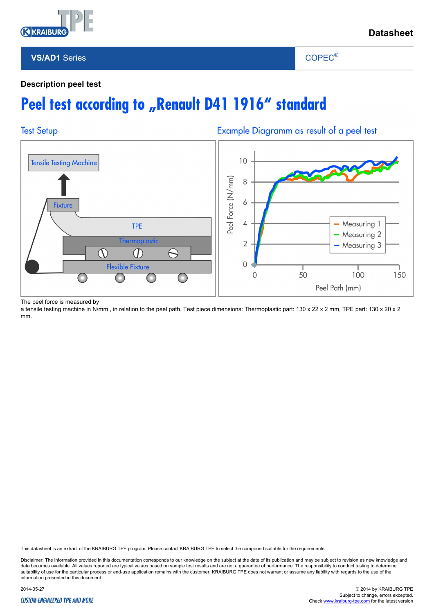

### **Datasheet**

#### **VS/AD1** Series

COPEC®

 $\overline{\phantom{a}}$ 

# **Description peel test**

# Peel test according to "Renault D41 1916" standard



The peel force is measured by

a tensile testing machine in N/mm, in relation to the peel path. Test piece dimensions: Thermoplastic part: 130 x 22 x 2 mm, TPE part: 130 x 20 x 2 mm.

This datasheet is an extract of the KRAIBURG TPE program. Please contact KRAIBURG TPE to select the compound suitable for the requirements.

Disclaimer: The information provided in this documentation corresponds to our knowledge on the subject at the date of its publication and may be subject to revision as new knowledge and data becomes available. All values reported are typical values based on sample test results and are not a guarantee of performance. The responsibility to conduct testing to determine suitability of use for the particular process or end-use application remains with the customer. KRAIBURG TPE does not warrant or assume any liability with regards to the use of the information presented in this document.